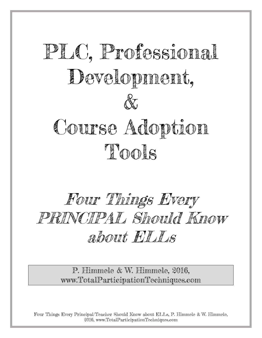# PLC, Professional Development, KT. Course Adoption Thols

# Four Things Every PRINCIPAL Should Know about FILIS

P. Himmele & W. Himmele, 2016, www.TotalParticipationTechniques.com

Four Things Every Principal/Teacher Should Know about ELLs, P. Himmele & W. Himmele, 2016, www.TotalParticipationTechniques.com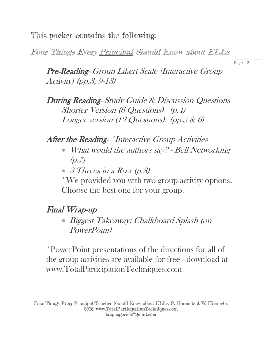This packet contains the following:

Four Things Every Principal Should Know about ELLs

Page | 2

Pre-Reading- Group Likert Scale (Interactive Group Activity) (pp.3, 9-13)

During Reading- Study Guide & Discussion Questions Shorter Version (6 Questions) (p.4) Longer version (12 Questions) (pp.5 & 6)

After the Reading- \*Interactive Group Activities

- What would the authors say? Bell Networking  $(p, 7)$
- $3$  Threes in a Row  $(p.8)$

\*We provided you with two group activity options. Choose the best one for your group.

## Final Wrap-up

• Biggest Takeaway: Chalkboard Splash (on PowerPoint)

\*PowerPoint presentations of the directions for all of the group activities are available for free --download at [www.TotalParticipationTechniques.com](http://www.totalparticipationtechniques.com/)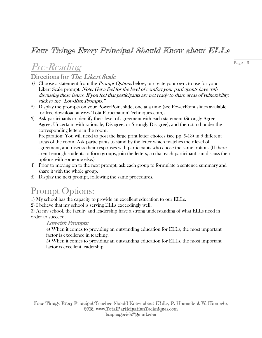### Four Things Every Principal Should Know about ELLs

## Pre-Reading

Directions for The Likert Scale

- 1) Choose a statement from the Prompt Options below, or create your own, to use for your Likert Scale prompt. Note: Get a feel for the level of comfort your participants have with discussing these issues. If you feel that participants are not ready to share areas of vulnerability, stick to the "Low-Risk Prompts."
- 2) Display the prompts on your PowerPoint slide, one at a time (see PowerPoint slides available for free download at www.TotalParticipationTechniques.com).
- 3) Ask participants to identify their level of agreement with each statement (Strongly Agree, Agree, Uncertain- with rationale, Disagree, or Strongly Disagree), and then stand under the corresponding letters in the room.

Preparation: You will need to post the large print letter choices (see pp. 9-13) in 5 different areas of the room. Ask participants to stand by the letter which matches their level of agreement, and discuss their responses with participants who chose the same option. (If there aren't enough students to form groups, join the letters, so that each participant can discuss their options with someone else.)

- 4) Prior to moving on to the next prompt, ask each group to formulate a sentence summary and share it with the whole group.
- 5) Display the next prompt, following the same procedures.

### Prompt Options:

1) My school has the capacity to provide an excellent education to our ELLs.

2) I believe that my school is serving ELLs exceedingly well.

3) At my school, the faculty and leadership have a strong understanding of what ELLs need in order to succeed.

#### Low-risk Prompts:

4) When it comes to providing an outstanding education for ELLs, the most important factor is excellence in teaching.

5) When it comes to providing an outstanding education for ELLs, the most important factor is excellent leadership.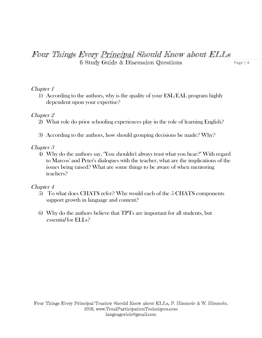#### Four Things Every Principal Should Know about ELLs 6 Study Guide & Discussion Questions

Page | 4

#### Chapter 1

1) According to the authors, why is the quality of your ESL/EAL program highly dependent upon your expertise?

#### Chapter 2

- 2) What role do prior schooling experiences play in the role of learning English?
- 3) According to the authors, how should grouping decisions be made? Why?

#### Chapter 3

4) Why do the authors say, "You shouldn't always trust what you hear?" With regard to Marcos' and Peter's dialogues with the teacher, what are the implications of the issues being raised? What are some things to be aware of when mentoring teachers?

#### Chapter 4

- 5) To what does CHATS refer? Why would each of the 5 CHATS components support growth in language and content?
- 6) Why do the authors believe that TPTs are important for all students, but  $essential$  for ELLs<sup>2</sup>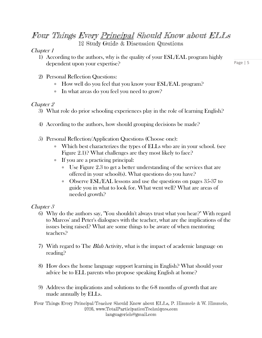#### Four Things Every Principal Should Know about ELLs 12 Study Guide & Discussion Questions

#### Chapter 1

1) According to the authors, why is the quality of your ESL/EAL program highly dependent upon your expertise?

Page | 5

- 2) Personal Reflection Questions:
	- How well do you feel that you know your ESL/EAL program?
	- In what areas do you feel you need to grow?

#### Chapter 2

- 3) What role do prior schooling experiences play in the role of learning English?
- 4) According to the authors, how should grouping decisions be made?
- 5) Personal Reflection/Application Questions (Choose one):
	- Which best characterizes the types of ELLs who are in your school. (see Figure 2.1)? What challenges are they most likely to face?
	- If you are a practicing principal:
		- Use Figure 2.3 to get a better understanding of the services that are offered in your school(s). What questions do you have?
		- Observe ESL/EAL lessons and use the questions on pages 35-37 to guide you in what to look for. What went well? What are areas of needed growth?

#### Chapter 3

- 6) Why do the authors say, "You shouldn't always trust what you hear?" With regard to Marcos' and Peter's dialogues with the teacher, what are the implications of the issues being raised? What are some things to be aware of when mentoring teachers?
- 7) With regard to The Blah Activity, what is the impact of academic language on reading?
- 8) How does the home language support learning in English? What should your advice be to ELL parents who propose speaking English at home?
- 9) Address the implications and solutions to the 6-8 months of growth that are made annually by ELLs.

Four Things Every Principal/Teacher Should Know about ELLs, P. Himmele & W. Himmele, 2016, www.TotalParticipationTechniques.com languagerich@gmail.com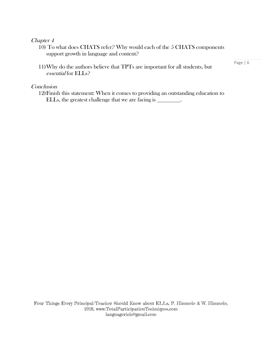#### Chapter 4

- 10) To what does CHATS refer? Why would each of the 5 CHATS components support growth in language and content?
- 11)Why do the authors believe that TPTs are important for all students, but essential for ELLs?

#### **Conclusion**

12)Finish this statement: When it comes to providing an outstanding education to ELLs, the greatest challenge that we are facing is \_\_\_\_\_\_\_\_.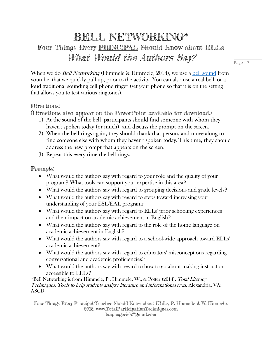# BELL NETWORKING\* Four Things Every PRINCIPAL Should Know about ELLs What Would the Authors Say?

Page | 7

When we do *Bell Networking* (Himmele & Himmele, 2014), we use a [bell sound](https://www.youtube.com/watch?v=q4wGaHEKtJE) from youtube, that we quickly pull up, prior to the activity. You can also use a real bell, or a loud traditional sounding cell phone ringer (set your phone so that it is on the setting that allows you to test various ringtones).

#### Directions:

(Directions also appear on the PowerPoint available for download.)

- 1) At the sound of the bell, participants should find someone with whom they haven't spoken today (or much), and discuss the prompt on the screen.
- 2) When the bell rings again, they should thank that person, and move along to find someone else with whom they haven't spoken today. This time, they should address the new prompt that appears on the screen.
- 3) Repeat this every time the bell rings.

Prompts:

- What would the authors say with regard to your role and the quality of your program? What tools can support your expertise in this area?
- What would the authors say with regard to grouping decisions and grade levels?
- What would the authors say with regard to steps toward increasing your understanding of your ESL/EAL program?
- What would the authors say with regard to ELLs' prior schooling experiences and their impact on academic achievement in English?
- What would the authors say with regard to the role of the home language on academic achievement in English?
- What would the authors say with regard to a school-wide approach toward ELLs' academic achievement?
- What would the authors say with regard to educators' misconceptions regarding conversational and academic proficiencies?
- What would the authors say with regard to how to go about making instruction accessible to ELLs?

\*Bell Networking is from Himmele, P., Himmele, W., & Potter (2014). Total Literacy Techniques: Tools to help students analyze literature and informational texts. Alexandria, VA: ASCD.

Four Things Every Principal/Teacher Should Know about ELLs, P. Himmele & W. Himmele, 2016, www.TotalParticipationTechniques.com languagerich@gmail.com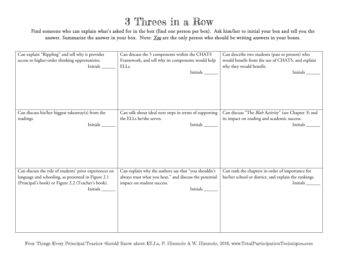# 3 Threes in a Row

Find someone who can explain what's asked for in the box (find one person per box). Ask him/her to initial your box and tell you the answer. Summarize the answer in your box. Note: *You* are the only person who should be writing answers in your boxes.

| Can explain "Rippling" and tell why it provides<br>access to higher-order thinking opportunities.<br>Initials                                                                   | Can discuss the 5 components within the CHATS<br>Framework, and tell why its components would help<br>ELLs.                                                   | Can describe two students (past or present) who<br>would benefit from the use of CHATS, and explain<br>why they would benefit.<br>Initials |
|---------------------------------------------------------------------------------------------------------------------------------------------------------------------------------|---------------------------------------------------------------------------------------------------------------------------------------------------------------|--------------------------------------------------------------------------------------------------------------------------------------------|
| Can discuss his/her biggest takeaway(s) from the<br>readings.<br>Initials                                                                                                       | Can talk about ideal next steps in terms of supporting<br>the ELLs he/she serves.                                                                             | Can discuss "The Blah Activity" (see Chapter 3) and<br>its impact on reading and academic success.<br>Initials_                            |
| Can discuss the role of students' prior experiences on<br>language and schooling, as presented in Figure 2.1<br>(Principal's book) or Figure 2.2 (Teacher's book).<br>Initials_ | Can explain why the authors say that "you shouldn't<br>always trust what you hear," and discuss the potential<br>impact on student success.<br>Initials______ | Can rank the chapters in order of importance for<br>his/her school or district, and explain the rankings.<br>Initials                      |

Four Things Every Principal/Teacher Should Know about ELLs, P. Himmele & W. Himmele, 2016, www.TotalParticipationTechniques.com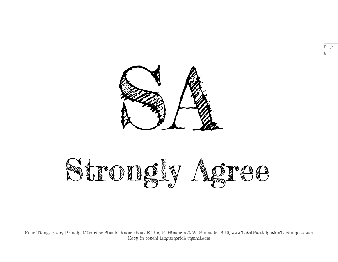

Strongly Agree

Four Things Every Principal/Teacher Should Know about ELLs, P. Himmele & W. Himmele, 2016, www.TotalParticipationTechniques.com Keep in touch! languagerich@gmail.com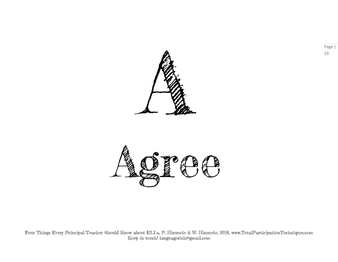

Four Things Every Principal/Teacher Should Know about ELLs, P. Himmele & W. Himmele, 2016, www.TotalParticipationTechniques.com Keep in touch! languagerich@gmail.com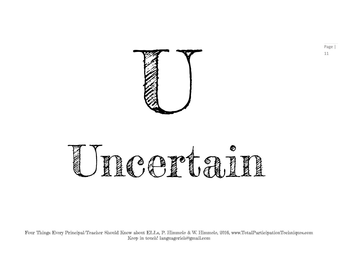

# meganten

Four Things Every Principal/Teacher Should Know about ELLs, P. Himmele & W. Himmele, 2016, www.TotalParticipationTechniques.com Keep in touch! languagerich@gmail.com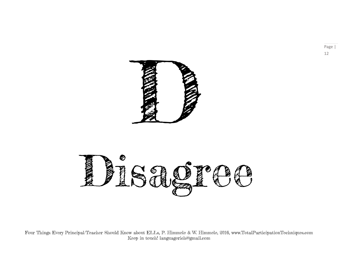



Four Things Every Principal/Teacher Should Know about ELLs, P. Himmele & W. Himmele, 2016, www.TotalParticipationTechniques.com Keep in touch! languagerich@gmail.com